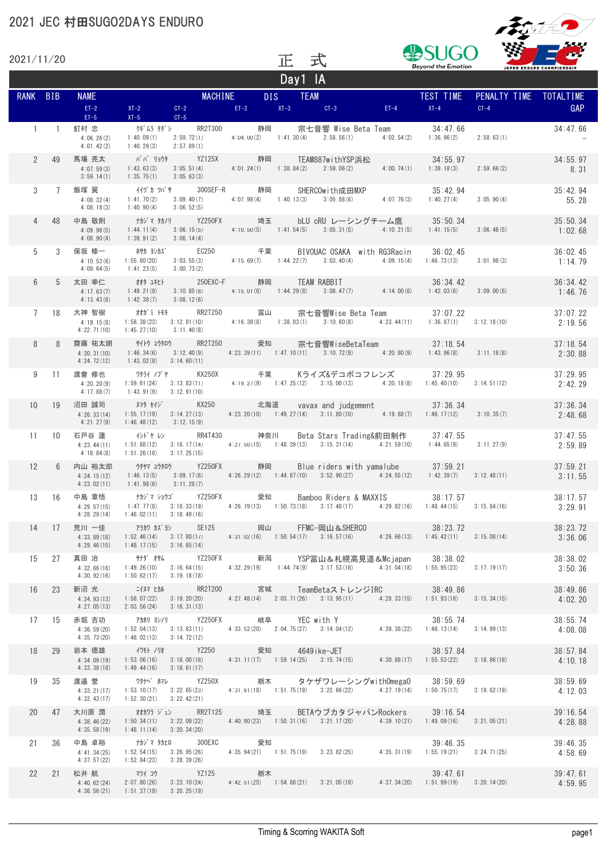

| 2021/11/20      |                |                                            |                                                                                                                                                                                                                   |                                                                                                                | TE.               | 式                                                                                                                                      |            |                                        |                        |                           |
|-----------------|----------------|--------------------------------------------|-------------------------------------------------------------------------------------------------------------------------------------------------------------------------------------------------------------------|----------------------------------------------------------------------------------------------------------------|-------------------|----------------------------------------------------------------------------------------------------------------------------------------|------------|----------------------------------------|------------------------|---------------------------|
|                 |                |                                            |                                                                                                                                                                                                                   |                                                                                                                |                   | Day1 IA                                                                                                                                |            | <b>Beyond the Emotion</b>              |                        | JAPAN ENDURO CHAMPIONSHIP |
| RANK BIB        |                | <b>NAME</b>                                |                                                                                                                                                                                                                   | <b>MACHINE</b>                                                                                                 | DIS <sub>12</sub> | <b>TEAM</b>                                                                                                                            |            | TEST TIME                              | PENALTY TIME TOTALTIME |                           |
|                 |                | $ET-2$                                     | $XT-2$<br>$CT-2$                                                                                                                                                                                                  | $EI - 3$                                                                                                       |                   | $XT-3$<br>$CT-3$                                                                                                                       | $ET-4$     | $XT-4$                                 | $CT-4$                 | GAP                       |
| $\mathbf{1}$    | $\sim$ 1       | $ET-5$<br>釘村 忠<br>4:06.26(2)<br>4:01.42(2) | $XT-5$<br>$CT-5$<br>クギムラ タダシ    RR2T300<br>1:40.09(1)<br>2:59.72(1)<br>1:40.29(3)<br>2:57.89(1)                                                                                                                   |                                                                                                                | 静岡                | 宗七音響 Wise Beta Team<br>$4:04.00(2)$ $1:41.30(4)$ $2:58.56(1)$                                                                          | 4:02.54(2) | 34:47.66<br>1:36.96(2)                 | 2:58.63(1)             | 34:47.66                  |
| $\overline{2}$  | 49             | 馬場 亮太<br>4:07.59(3)<br>3:59.14(1)          | ババ リョウタ YZ125X 静岡 TEAM887withYSP浜松<br>3:05.51(4)<br>1:43.63(3)<br>1:35,75(1)<br>3:05.63(3)                                                                                                                        |                                                                                                                |                   | $4:01.24(1)$ $1:38.84(2)$ $2:59.06(2)$                                                                                                 | 4:00.74(1) | 34:55.97<br>1:39.18(3)                 | 2:59.66(2)             | 34:55.97<br>8.31          |
| 3               | $\overline{7}$ | 飯塚 翼<br>4:08.32(4)<br>4:08.18(3)           | イイヅカ ツバサ ― 300SEF-R ― 静岡<br>1:41.70(2)<br>3:09.40(7)<br>3:06.52(5)<br>1:40.90(4)                                                                                                                                  |                                                                                                                |                   | SHERCOwith成田MXP<br>$4:07.98(4)$ 1:40.13(3) 3:05.88(6) 4:07.76(3)                                                                       |            | 35:42.94<br>1:40.27(4)                 | 3:05.90(4)             | 35:42.94<br>55.28         |
| 4               | 48             | 中島 敬則<br>4:09.96(5)<br>4:08.90(4)          | ナカジマ タカノリ        YZ250FX             埼玉        bLU cRU レーシングチーム鷹<br>1:44.11(4)<br>3:06.15(5)<br>1:39.91(2)<br>3:06.14(4)                                                                                          |                                                                                                                |                   | $4:10.50(5)$ $1:41.54(5)$ $3:05.31(5)$ $4:10.21(5)$                                                                                    |            | 35:50.34<br>1:41.15(5)                 | 3:06.46(5)             | 35:50.34<br>1:02.68       |
| 5               | 3              | 保坂 修一<br>4:10.53(6)<br>4:09.64(5)          | ホサカ ヨシカズ    EC250      千葉<br>3:03.55(3)<br>1:55.60(20)<br>1:41.23(5)<br>3:00.73(2)                                                                                                                                |                                                                                                                |                   | BIVOUAC OSAKA with RG3Racin<br>$4:15.69(7)$ $1:44.22(7)$ $3:03.40(4)$                                                                  | 4:09.15(4) | 36:02.45<br>1:46.73(13)                | 3:01.98(3)             | 36:02.45<br>1:14.79       |
| 6               | 5              | 太田 幸仁<br>4:17.63(7)<br>4:13.43(6)          | オオタ ユキヒト<br>1:49.21(9)<br>3:10.85(8)<br>1:42.38(7)<br>3:08.12(6)                                                                                                                                                  |                                                                                                                |                   | 250EXC-F 静岡 TEAM RABBIT<br>$4:15.01(6)$ $1:44.29(8)$ $3:08.47(7)$ $4:14.00(6)$                                                         |            | 36:34.42<br>1:42.03(6)                 | 3:09.00(6)             | 36:34.42<br>1:46.76       |
| $\overline{7}$  | 18             | 大神 智樹<br>4:19.15(8)<br>4:22.71(10)         | オオガミートモキ RR2T250 富山<br>1:58.38(23)<br>1:45.27(10)<br>3:11.40(8)                                                                                                                                                   |                                                                                                                |                   | 宗七音響Wise Beta Team<br>$3:12.81(10)$ $4:16.38(8)$ $1:38.03(1)$ $3:10.60(8)$ $4:23.44(11)$                                               |            | 37:07.22<br>$1:36.87(1)$ $3:12.18(10)$ |                        | 37:07.22<br>2:19.56       |
| 8               | 8              | 齋藤 祐太朗<br>4:20.31(10)<br>4:24.72(12)       | サイトウ ユウタロウ           RR2T250           愛知<br>1:46.34(6)<br>3:12.40(9)<br>$1:43.02(8)$ $3:14.60(11)$                                                                                                               |                                                                                                                |                   | 宗七音響WiseBetaTeam<br>$4:23.39(11)$ $1:47.10(11)$ $3:10.72(9)$ $4:20.80(9)$                                                              |            | 37:18.54<br>1:43.96(8)                 | 3:11.18(8)             | 37:18.54<br>2:30.88       |
| 9               | 11             | 渡會 修也<br>4:20.20(9)<br>4:17.88(7)          | 1:59.61(24)<br>1:43.91(9)<br>3:12.91(10)                                                                                                                                                                          |                                                                                                                |                   | Kライズ&デコボコフレンズ<br>$3:13.83(11)$ $4:19.27(9)$ $1:47.25(12)$ $3:15.00(13)$ $4:20.18(8)$ $1:45.40(10)$ $3:14.51(12)$                       |            | 37:29.95                               |                        | 37:29.95<br>2:42.29       |
| 10 <sup>1</sup> | 19             | 沼田 誠司<br>4:26.33(14)<br>4:21.27(9)         | <b>ヌマタ セイジ</b><br>3:14.27(13)<br>1:55.17(19)<br>3:12.15(9)<br>1:46.48(12)                                                                                                                                         | <b>KX250</b>                                                                                                   | 北海道               | vavax and judgement 37:36.34<br>4:23.20(10) $1:49.27(14)$ $3:11.80(10)$ $4:19.88(7)$ $1:46.17(12)$                                     |            |                                        | 3:10.35(7)             | 37:36.34<br>2:48.68       |
| 11              | 10             | 石戸谷 蓮<br>4:23.44(11)<br>4:18.84(8)         | イシドャ レン RR4T430<br>1:51.88(12)<br>1:51.26(18)<br>3:17.25(15)                                                                                                                                                      |                                                                                                                | 神奈川               | Beta Stars Trading&前田制作 37:47.55<br>$3:16.17(14)$ $4:27.50(15)$ $1:48.39(13)$ $3:15.31(14)$ $4:21.59(10)$ $1:44.65(9)$                 |            |                                        | 3:11.27(9)             | 37:47.55<br>2:59.89       |
| 12              | 6              | 内山 裕太郎<br>4:24.15(12)<br>4:23.02(11)       | ウチヤマ ユウタロウ       YZ250FX         静岡<br>3:09.17(6)<br>1:46.13(5)<br>3:11.28(7)<br>1:41.98(6)                                                                                                                       |                                                                                                                |                   | Blue riders with vamalube 37:59.21<br>$4:26.29(12)$ $1:44.87(10)$ $3:52.90(27)$ $4:24.55(12)$ $1:42.39(7)$ $3:12.48(11)$               |            |                                        |                        | 37:59.21<br>3:11.55       |
| 13              | 16             | 中島 章悟<br>4:29.57(15)<br>4:28.29(14)        | ナカジ・マーショウゴ゛    YZ250FX<br>1:47.77(8)<br>3:18.33(19)<br>1:46.02(11)<br>3:18.49(16)                                                                                                                                 |                                                                                                                | 愛知                | Bamboo Riders & MAXXIS<br>$4:26.79(13)$ $1:50.73(18)$ $3:17.48(17)$                                                                    |            | 38:17.57<br>$4:29.82(16)$ 1:48.44(15)  | 3:15.84(16)            | 38:17.57<br>3:29.91       |
| 14              | 17             | 荒川 一佳<br>4:33.89(18)<br>4:29.46(15)        | アラカワ カズヨシ            SE125                 岡山<br>$1:52.46(14)$ $3:17.80(17)$<br>1:48.17(15)<br>3:16.65(14)                                                                                                        |                                                                                                                |                   | 岡山 FFMC-岡山&SHERCO 38:23.72<br>4:31.02(16) 1:50.54(17) 3:16.57(16) 4:26.66(13) 1:45.42(11) 3:15.08(14)                                  |            |                                        |                        | 38:23.72<br>3:36.06       |
| 15              | 27             | 真田 治<br>4:32.66(16)<br>4:30.92(16)         | サナダ オサム<br>3:16.64(15)<br>1:49.26(10)<br>3:19.18(18)<br>1:50.62(17)                                                                                                                                               |                                                                                                                |                   | YZ250FX     新潟    YSP富山&札幌高見道&Mcjapan   38∶38.02<br>$4:32.29(19)$ $1:44.74(9)$ $3:17.53(18)$ $4:31.04(18)$ $1:55.95(23)$ $3:17.19(17)$ |            |                                        |                        | 38:38.02<br>3:50.36       |
| 16              | 23             | 新沼 光<br>4:24.93(13)<br>4:27.05(13)         | ニイヌマ ヒカル<br>$1:58.07(22) \qquad 3:19.20(20) \qquad \qquad 4:27.48(14) \qquad 2:03.71(26) \qquad 3:13.95(11) \qquad \qquad 4:28.33(15) \qquad 1:51.93(18) \qquad \qquad 3:15.34(15)$<br>2:03.56(24)<br>3:16.31(13) |                                                                                                                |                   | RR2T200    宮城   TeamBetaストレンジIRC      38:49.86                                                                                         |            |                                        |                        | 38:49.86<br>4:02.20       |
| 17              | 15             | 赤堀 吉功<br>4:36.59(20)<br>4:35.73(20)        | アカホリ ヨシノリ       YZ250FX           岐阜<br>3:13.83(11)<br>1:52.04(13)<br>1:48.02(13)<br>3:14.72(12)                                                                                                                  |                                                                                                                |                   | 岐阜    YEC with Y<br> 4:33.52(20)   2:04.75(27)   3:14.04(12)  4:39.38(22)  1:48.13(14)  3:14.99(13)                                    |            |                                        |                        | 38:55.74<br>4:08.08       |
| 18              | 29             | 岩本 徳雄<br>4:34.09(19)<br>4:33.38(18)        | イワモト ノリオ            YZ250             愛知<br>$1:53.06(16)$ $3:18.00(18)$<br>3:18.61(17)<br>1:49.44(16)                                                                                                             |                                                                                                                |                   | 愛知 4649 i ke-JET 38:57.84<br>4:31.11(17) 1:59.14(25) 3:15.74(15) 4:30.88(17) 1:55.53(22) 3:18.86(18)                                   |            |                                        |                        | 38:57.84<br>4:10.18       |
| 19              | 35             | 渡邉 誉<br>4:33.21(17)<br>4:32.43(17)         | ワタナベ ホマレ<br><b>YZ250X</b><br>3:22.65(23)<br>1:53.10(17)<br>3:22.42(21)<br>1:52.30(21)                                                                                                                             |                                                                                                                |                   | 栃木 タケザワレーシングwithOmegaO 38:59.69<br>4:31.61(18) 1:51.75(19) 3:22.66(22) 4:27.19(14) 1:50.75(17) 3:19.62(19)                             |            |                                        |                        | 38:59.69<br>4:12.03       |
| 20              | 47             | 大川原 潤<br>4:38, 46(22)<br>4:35.58(19)       | オオカワラ ジュン    RR2T125     埼玉<br>$1:50.34(11)$ $3:22.09(22)$ $4:40.90(23)$ $1:50.31(16)$ $3:21.17(20)$ $4:39.10(21)$ $1:49.09(16)$ $3:21.05(21)$<br>3:20.34(20)<br>1:48.11(14)                                      |                                                                                                                |                   | BETAウブカタジャパンRockers 39:16.54                                                                                                           |            |                                        |                        | 39:16.54<br>4:28.88       |
| 21              | 36             | 中島 卓裕<br>4:41.34(25)<br>4:37.57(22)        | ナカジマ タカヒロ<br>1:52.54(15)<br>3:26.95(26)<br>1:52.84(23)<br>3:28.39(26)                                                                                                                                             | 300EXC                                                                                                         | 愛知                | 4:35.94(21) 1:51.75(19) 3:23.82(25) 4:35.31(19) 1:55.19(21) 3:24.71(25)                                                                |            | 39:46.35                               |                        | 39:46.35<br>4:58.69       |
| 22              | 21             | 松井 航 マツイコウ<br>4:40.62(24)<br>4:36.56(21)   | 2:07.80(26)<br>3:23.10(24)<br>1:51.37(19)<br>3:20.25(19)                                                                                                                                                          | and the YZ125 and the top that the top that the top that the top that the top that the top that the top that t |                   | 析木 39:47.61<br>4:42.51 (25) 1:54.88 (21) 3:21.05 (19) 4:37.34 (20) 1:51.99 (19) 3:20.14 (20)                                           |            |                                        |                        | 39:47.61<br>4:59.95       |
|                 |                |                                            |                                                                                                                                                                                                                   |                                                                                                                |                   |                                                                                                                                        |            |                                        |                        |                           |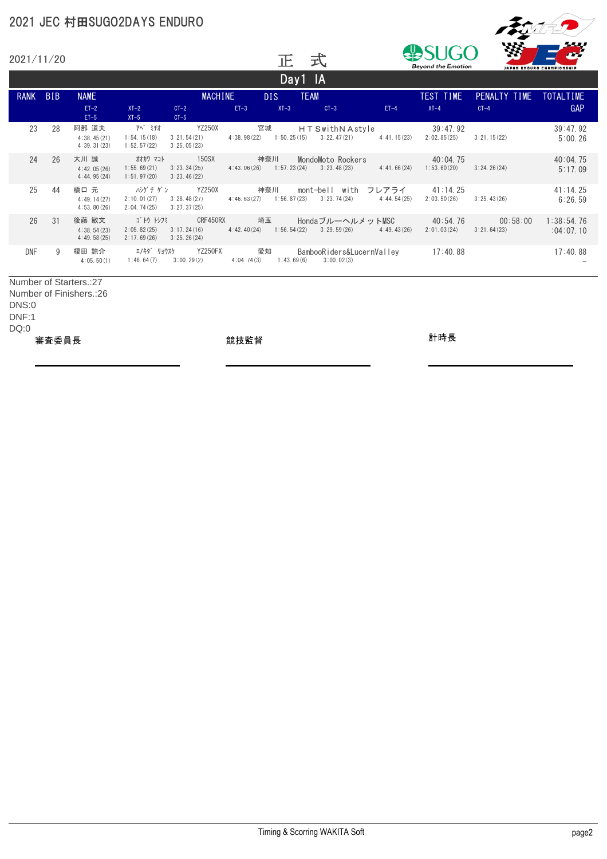

|             | 2021/11/20                                         |                                     |                                        |                                        |                   | 正                  | 式                                       | m<br>YЯ<br><b>Beyond the Emotion</b><br>JAPAN ENDURO CHAMPIONSHIP |                         |                         |                         |
|-------------|----------------------------------------------------|-------------------------------------|----------------------------------------|----------------------------------------|-------------------|--------------------|-----------------------------------------|-------------------------------------------------------------------|-------------------------|-------------------------|-------------------------|
|             |                                                    |                                     |                                        |                                        |                   | Day1 IA            |                                         |                                                                   |                         |                         |                         |
| <b>RANK</b> | <b>BIB</b>                                         | <b>NAME</b>                         |                                        | <b>MACHINE</b>                         |                   | DIS.               | <b>TEAM</b>                             |                                                                   | TEST TIME               | PENALTY TIME            | TOTALTIME               |
|             |                                                    | $ET-2$<br>$ET-5$                    | $XT-2$<br>$XT-5$                       | $CT-2$<br>$CT-5$                       | $ET-3$            | $XT-3$             | $CT-3$                                  | $ET-4$                                                            | $XT-4$                  | $CT-4$                  | GAP                     |
| 23          | 28                                                 | 阿部 道夫<br>4:38.45(21)<br>4:39.31(23) | 7ベ ミチオ<br>1:54.15(18)<br>1:52.57(22)   | YZ250X<br>3:21.54(21)<br>3:25.05(23)   | 宮城<br>4:38,98(22) | 1:50.25(15)        | H T Swith N Astyle<br>3:22.47(21)       | 4:41.15(23)                                                       | 39:47.92<br>2:02.85(25) | 3:21.15(22)             | 39:47.92<br>5:00.26     |
| 24          | 26                                                 | 大川 誠<br>4:42.05(26)<br>4:44.95(24)  | オオカワ マコト<br>1:55.69(21)<br>1:51.97(20) | 150SX<br>3:23.34(25)<br>3:23.46(22)    | 4:43.06(26)       | 神奈川<br>1:57.23(24) | MondoMoto Rockers<br>3:23.48(23)        | 4:41.66(24)                                                       | 40:04.75<br>1:53,60(20) | 3:24.26(24)             | 40:04.75<br>5:17.09     |
| 25          | 44                                                 | 橋口 元<br>4:49.14(27)<br>4:53.80(26)  | ハシグチ ゲン<br>2:10.01(27)<br>2:04.74(25)  | YZ250X<br>3:28.48(27)<br>3:27.37(25)   | 4:46.63(27)       | 神奈川<br>1:56.87(23) | mont-bell with<br>3:23.74(24)           | フレアライ<br>4:44.54(25)                                              | 41:14.25<br>2:03.50(26) | 3:25.43(26)             | 41:14.25<br>6:26.59     |
| 26          | 31                                                 | 後藤 敏文<br>4:38.54(23)<br>4:49.58(25) | ゴけり<br>2:05.82(25)<br>2:17.69(26)      | CRF450RX<br>3:17,24(16)<br>3:25.26(24) | 4:42.40(24)       | 埼玉<br>1:56.54(22)  | HondaブルーヘルメットMSC                        | $3:29.59(26)$ $4:49.43(26)$                                       | 40:54.76<br>2:01.03(24) | 00:58:00<br>3:21.64(23) | 1:38:54.76<br>:04:07.10 |
| <b>DNF</b>  | 9                                                  | 榎田 諒介<br>4:05,50(1)                 | エノキタ゛ リョウスケ<br>1:46.64(7)              | YZ250FX<br>3:00, 29(2)                 | 愛知<br>4:04,74(3)  | 1:43.69(6)         | BambooRiders&LucernValley<br>3:00,02(3) |                                                                   | 17:40.88                |                         | 17:40.88                |
|             | Number of Starters.:27<br>Number of Finishers.: 26 |                                     |                                        |                                        |                   |                    |                                         |                                                                   |                         |                         |                         |

DNS:0 DNF:1 DQ:0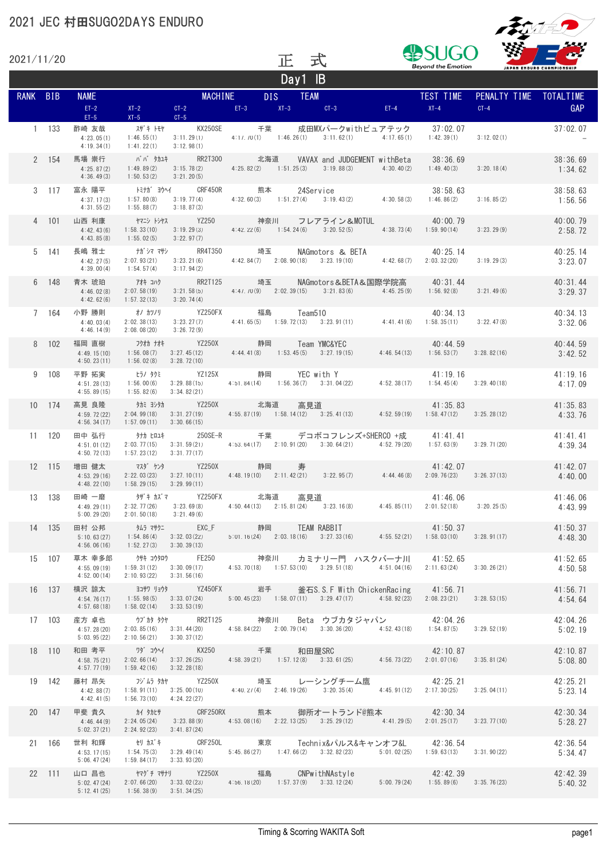2021/11/20



JGO

| ZUZ 17 1 17 ZU |               |                                             |                                                        |                                                       | ᄕ                                                                                                                                                                             |                      | 工                     | <b>Beyond the Emotion</b> |                        | JAPAN ENDURO CHAMPIONSHIP |
|----------------|---------------|---------------------------------------------|--------------------------------------------------------|-------------------------------------------------------|-------------------------------------------------------------------------------------------------------------------------------------------------------------------------------|----------------------|-----------------------|---------------------------|------------------------|---------------------------|
|                |               |                                             |                                                        |                                                       |                                                                                                                                                                               | $\overline{Day1}$ IB |                       |                           |                        |                           |
| RANK BIB       |               | <b>NAME</b>                                 |                                                        | MACHINE                                               |                                                                                                                                                                               |                      |                       |                           | PENALTY TIME TOTALTIME |                           |
|                |               | $ET-2$                                      |                                                        |                                                       | $XT-2$ CT-2 ET-3 $XT-3$ CT-3 ET-4 $XT-4$ $XT-4$                                                                                                                               |                      |                       |                           | $CT-4$                 | <b>GAP</b>                |
|                | 1 133         | $ET-5$<br>酢崎 友哉<br>4:23.05(1)<br>4:19.34(1) | スザキトモヤ<br>1:46.55(1)<br>1:41.22(1)                     | $XT-5$ $CT-5$<br>3:11.29(1)<br>3:12.98(1)             | KX250SE 千葉 成田MXパークwithピュアテック 37:02.07<br>$4:17.70(1)$ $1:46.26(1)$ $3:11.62(1)$ $4:17.65(1)$ $1:42.39(1)$                                                                     |                      |                       |                           | 3:12.02(1)             | 37:02.07                  |
|                | 2 154         | 馬場 崇行<br>4:25.87(2)<br>4:36.49(3)           | 1:49.89(2)<br>1:50.53(2)                               | 3:21.20(5)                                            | ババ タカユキ     RR2T300      北海道    VAVAX and JUDGEMENT withBeta<br>$3:15.78(2)$ $4:25.82(2)$ $1:51.25(3)$ $3:19.88(3)$ $4:30.40(2)$ $1:49.40(3)$                                 |                      |                       | 38:36.69                  | 3:20.18(4)             | 38:36.69<br>1:34.62       |
|                | $3 \quad 117$ | 富永 陽平<br>4:37.17(3)<br>4:31.55(2)           | 1:57.80(8)<br>1:55, 88(7)                              | 3:18,87(3)                                            |                                                                                                                                                                               |                      |                       | 38:58.63<br>1:46.86(2)    | 3:16.85(2)             | 38:58.63<br>1:56.56       |
|                | 4 101         | 山西 利康<br>4:42.43(6)<br>4:43.85(8)           | 1:58.33(10)<br>1:55.02(5)                              | 3:22.97(7)                                            | ヤマニシートシヤス YZ250 神奈川<br>$3:19.29(3)$ $4:42.22(6)$ $1:54.24(6)$ $3:20.52(5)$ $4:38.73(4)$ $1:59.90(14)$ $3:23.29(9)$                                                            |                      | フレアライン&MOTUL 40:00.79 |                           |                        | 40:00.79<br>2:58.72       |
|                | 5 141         | 長嶋 雅士<br>4:42.27(5)<br>4:39.00(4)           | 2:07.93(21)<br>1:54.57(4)                              | 3:17.94(2)                                            | $3:23.21(6)$ $4:42.84(7)$ $2:08.90(18)$ $3:23.19(10)$ $4:42.68(7)$ $2:03.32(20)$                                                                                              |                      | NAGmotors & BETA      | 40:25.14                  | 3:19.29(3)             | 40:25.14<br>3:23.07       |
|                | 6 148         | 青木 琥珀<br>4:46.02(8)<br>4:42.62(6)           | アオキ コハク<br>2:07.58(19)<br>1:57.32(13)                  | 3:20.74(4)                                            | RR2T125     埼玉    NAGmotors&BETA&国際学院高    40:31.44<br>$3:21.58(5)$ $4:47.70(9)$ $2:02.39(15)$ $3:21.83(6)$ $4:45.25(9)$ $1:56.92(8)$                                          |                      |                       |                           | 3:21.49(6)             | 40:31.44<br>3:29.37       |
|                | 7 164         | 小野 勝則<br>4:40.03(4)<br>4:46.14(9)           | オノ カツノリ<br>2:02.38(13)<br>2:08.08(20)                  | YZ250FX<br>3:26.72(9)                                 | YZ250FX 福島 Team510 40:34.13<br>3:23.27(7) 4:41.65(5) 1:59.72(13) 3:23.91(11) 4:41.41(6) 1:58.35(11) 3:22.47(8)                                                                |                      |                       |                           |                        | 40:34.13<br>3:32.06       |
|                | 8 102         | 福岡 直樹<br>4:49.15(10)<br>4:50.23(11)         | フクオカ ナオキ<br>1:56.08(7)<br>1:56.02(8)                   | 3:28.72(10)                                           | 2250X 静岡 Team YMC&YEC 40:44.59<br>3:27.45(12) 4:44.41(8) 1:53.45(5) 3:27.19(15) 4:46.54(13) 1:56.53(7) 3:28.82(16)                                                            |                      |                       |                           |                        | 40:44.59<br>3:42.52       |
|                | 9 108         | 平野 拓実<br>4:51.28(13)<br>4:55.89(15)         | ヒラノ タクミ<br>1:56.00(6)<br>1:55.82(6)                    | 3:34.82(21)                                           | YZ125X 静岡 YEC with Y 41:52.38(17) 41:19.16<br>3:29.88(15) 4:51.84(14) 1:56.36(7) 3:31.04(22) 4:52.38(17) 1:54.45(4) 3:29.40(18)                                               |                      |                       |                           |                        | 41:19.16<br>4:17.09       |
|                | 10 174        | 高見 良隆<br>4:59.72(22)<br>4:56.34(17)         | タカミ ヨシタカ<br>2:04.99(18)<br>$1:57.09(11)$ $3:30.66(15)$ |                                                       |                                                                                                                                                                               |                      |                       |                           |                        | 41:35.83<br>4:33.76       |
|                | 11 120        | 田中 弘行<br>4:51.01(12)<br>4:50.72(13)         | タナカ ヒロユキ<br>2:03.77(15)<br>1:57.23(12)                 | 3:31.77(17)                                           | $3:31.59(21)$ $4:53.64(17)$ $2:10.91(20)$ $3:30.64(21)$ $4:52.79(20)$ $1:57.63(9)$ $3:29.71(20)$                                                                              |                      |                       |                           |                        | 41:41.41<br>4:39.34       |
|                | 12 115        | 増田 健太<br>4:53.29(16)<br>4:48.22(10)         | 2:22.03(23)<br>$1:58.29(15)$ $3:29.99(11)$             |                                                       | マスダ ケンタ      YZ250X      静岡<br>$3:27.10(11)$ $4:48.19(10)$ $2:11.42(21)$ $3:22.95(7)$ $4:44.46(8)$ $2:09.76(23)$ $3:26.37(13)$                                                | 寿                    |                       | 41:42.07                  |                        | 41:42.07<br>4:40.00       |
|                | 13 138        | 田崎 一磨<br>4:49.29(11)<br>5:00, 29(20)        | 2:32.77(26)<br>2:01.50(18)                             | タザキ カズマ           YZ250FX           北海道<br>3:21.49(6) | * 7     YZ250FX       北海道    高見道                           41:46.06<br>3:23.69(8)     4:50.44(13)   2:15.81(24)   3:23.16(8)     4:45.85(11)   2:01.52(18)    3:20.25(5)      |                      |                       |                           |                        | 41:46.06<br>4:43.99       |
|                | 14 135        | 田村 公邦<br>5:10.63(27)<br>4:56.06(16)         | $1:52.27(3)$ $3:30.39(13)$                             | $1:54.86(4)$ $3:32.03(22)$                            | 静岡 TEAM RABBIT 41:50.37<br>5:01.16(24) 2:03.18(16) 3:27.33(16) 4:55.52(21) 1:58.03(10) 3:28.91(17)                                                                            |                      |                       |                           |                        | 41:50.37<br>4:48.30       |
|                | 15 107        | 草木 幸多郎<br>4:55.09(19)<br>4:52.00(14)        | 2:10.93(22)                                            | 3:31.56(16)                                           | クサキ コウタロウ      FE250         神奈川 カミナリー門 ハスクバーナ川   41:52.65<br>$1:59.31(12)$ $3:30.09(17)$ $4:53.70(18)$ $1:57.53(10)$ $3:29.51(18)$ $4:51.04(16)$ $2:11.63(24)$ $3:30.26(21)$ |                      |                       |                           |                        | 41:52.65<br>4:50.58       |
|                | 16 137        | 横沢 諒太<br>4:54.76(17)<br>4:57.68(18)         | 1:55.98(5)<br>$1:58.02(14)$ $3:33.53(19)$              |                                                       | ヨコサワリョウタ YZ450FX 岩手 釜石S.S.FWith ChickenRacing 41:56.71<br>$3:33.07(24)$ $5:00.45(23)$ $1:58.07(11)$ $3:29.47(17)$ $4:58.92(23)$ $2:08.23(21)$                                 |                      |                       |                           | 3:28.53(15)            | 41:56.71<br>4:54.64       |
|                | 17 103        | 産方 卓也<br>4:57.28(20)<br>5:03.95(22)         | $2:10.56(21)$ $3:30.37(12)$                            |                                                       | ウブカタ タクヤ    RR2T125    神奈川   Beta ウブカタジャパン       42:04.26<br>2:03.85(16) 3:31.44(20) 4:58.84(22) 2:00.79(14) 3:30.36(20) 4:52.43(18) 1:54.87(5) 3:29.52(19)                   |                      |                       |                           |                        | 42:04.26<br>5:02.19       |
|                | 18 110        | 和田 考平<br>4:58.75(21)<br>4:57.77(19)         | 1:59.42(16)                                            | $2:02.66(14)$ $3:37.26(25)$<br>3:32.28(18)            |                                                                                                                                                                               |                      |                       | 42:10.87                  |                        | 42:10.87<br>5:08.80       |
|                | 19 142        | 藤村 昂矢<br>4:42.88(7)<br>4:42.41(5)           | 1:56.73(10)                                            | 4:24.22(27)                                           | フジムラ タカヤ    YZ250X     埼玉    レーシングチーム鷹         42:25.21<br>$1:58.91(11)$ $3:25.00(10)$ $4:40.27(4)$ $2:46.19(26)$ $3:20.35(4)$ $4:45.91(12)$ $2:17.30(25)$ $3:25.04(11)$      |                      |                       |                           |                        | 42:25.21<br>5:23.14       |
|                | 20 147        | 甲斐 貴久<br>4:46.44(9)<br>5:02.37(21)          | カイ タカヒサ<br>2:24.05(24)<br>2:24.92(23)                  | 3:41.87(24)                                           | CRF250RX 熊本 御所オートランド@熊本 42:30.34<br>$3:23.88(9)$ $4:53.08(16)$ $2:22.13(25)$ $3:25.29(12)$ $4:41.29(5)$ $2:01.25(17)$ $3:23.77(10)$                                           |                      |                       |                           |                        | 42:30.34<br>5:28.27       |
|                | 21 166        | 世利 和輝<br>4:53, 17(15)<br>5:06.47(24)        | 1:54.75(3)<br>1:59.84(17)                              | 3:33.93(20)                                           | $3:29.49(14)$ $5:45.86(27)$ $1:47.66(2)$ $3:32.82(23)$ $5:01.02(25)$ $1:59.63(13)$ $3:31.90(22)$                                                                              |                      |                       |                           |                        | 42:36.54<br>5:34.47       |
|                | 22 111        | 山口 昌也<br>5:02.47(24)<br>5:12.41(25)         | 1:56.38(9)                                             | 3:51.34(25)                                           | ヤマケ チ マサナリ YZ250X 福島 CNPwithNAstyle 42:42.39<br>2:07.66(20) 3:33.02(23) 4:56.18(20) 1:57.37(9) 3:33.12(24) 5:00.79(24) 1:55.89(6) 3:35.76(23)                                 |                      |                       |                           |                        | 42:42.39<br>5:40.32       |

正式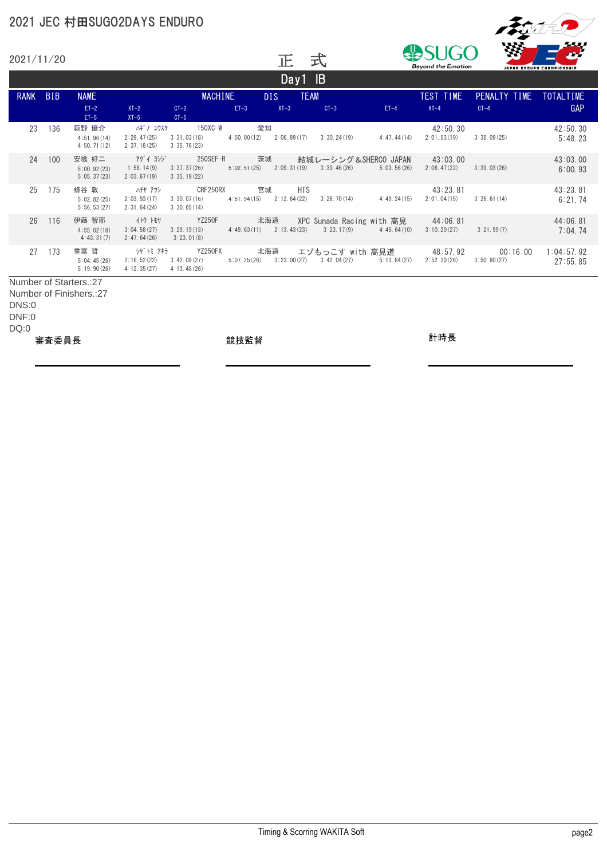

|             | 2021/11/20               |                                      |                                         |                                            |                                     | 正                           | 式                                                                 | <b>Beyond the Emotion</b><br>JAPAN ENDURO CHAMPIONSHIP |                          |                         |                        |
|-------------|--------------------------|--------------------------------------|-----------------------------------------|--------------------------------------------|-------------------------------------|-----------------------------|-------------------------------------------------------------------|--------------------------------------------------------|--------------------------|-------------------------|------------------------|
|             |                          |                                      |                                         |                                            |                                     | Day1 $IB$                   |                                                                   |                                                        |                          |                         |                        |
| <b>RANK</b> | <b>BIB</b>               | <b>NAME</b>                          |                                         | <b>MACHINE</b>                             |                                     | <b>TEAM</b><br>DIS.         |                                                                   |                                                        | TEST TIME                | PENALTY TIME TOTALTIME  |                        |
|             |                          | $ET-2$<br>$ET-5$                     | $XT-2$<br>$XT-5$                        | $CT-2$<br>$CT-5$                           | $ET-3$                              | $XT-3$                      | $CT-3$                                                            | $ET-4$                                                 | $XT-4$                   | $CT-4$                  | <b>GAP</b>             |
| 23          | 136                      | 萩野 優介<br>4:51.96(14)<br>4:50, 71(12) | ハギ ノ ユウスケ<br>2:29.47(25)<br>2:37.18(25) | 150XC-W<br>3:31.03(18)<br>3:35.76(23)      | 愛知                                  | $4:50.00(12)$ $2:06.89(17)$ | 3:30.24(19)                                                       | 4:47.44(14)                                            | 42:50.30<br>2:01,53(19)  | 3:38.09(25)             | 42:50.30<br>5:48.23    |
| 24          | 100                      | 安喰 好二<br>5:00, 92(23)<br>5:05.37(23) | アゲイヨシジ<br>1:58.14(9)<br>2:03.67(19)     | 250SEF-R<br>3:37,37(26)<br>3:35.19(22)     |                                     | 茨城                          | 結城レーシング&SHERCO JAPAN<br>$5:02.51(25)$ $2:09.31(19)$ $3:39.46(26)$ | 5:03.56(26)                                            | 43:03.00<br>2:08, 47(22) | 3:39.03(26)             | 43:03.00<br>6:00.93    |
| 25          | 175                      | 蜂谷 敦<br>5:02.82(25)<br>5:56.53(27)   | ハチヤ アツシ<br>2:03.93(17)<br>2:31.64(24)   | CRF250RX<br>3:30,07(16)<br>3:30.65(14)     | 宮城<br>$4:51, 94(15)$ $2:12, 64(22)$ | <b>HTS</b>                  | 3:26.70(14)                                                       | 4:49.24(15)                                            | 43:23.81<br>2:01,04(15)  | 3:26.61(14)             | 43:23.81<br>6:21.74    |
| 26          | 116                      | 伊藤 智耶<br>4:55.02(18)<br>4:43.31(7)   | イトウ トモヤ<br>3:04.58(27)<br>2:47.64(26)   | <b>YZ250F</b><br>3:29.19(13)<br>3:23.01(8) | 北海道<br>$4:49.63(11)$ $2:13.43(23)$  |                             | $XPC$ Sunada Racing with 高見 $44:06.81$                            | $3:23.17(9)$ $4:45.64(10)$                             | 3:10.20(27)              | 3:21.99(7)              | 44:06.81<br>7:04.74    |
| 27          | 173                      | 重富 哲<br>5:04.45(26)<br>5:19.90(26)   | シゲトミ アキラ<br>2:16.52(22)<br>4:12.35(27)  | YZ250FX<br>3:42.09(27)<br>4:13.48(26)      | 北海道<br>5:07,25(26)                  | 3:23.00(27)                 | 3:42.04(27)                                                       | 5:13.84(27)                                            | 2:52.20(26)              | 00:16:00<br>3:50.80(27) | 1:04:57.92<br>27:55.85 |
|             |                          | Number of Starters.:27               |                                         |                                            |                                     |                             |                                                                   |                                                        |                          |                         |                        |
| DNS:0       | Number of Finishers.: 27 |                                      |                                         |                                            |                                     |                             |                                                                   |                                                        |                          |                         |                        |
| DNF:0       |                          |                                      |                                         |                                            |                                     |                             |                                                                   |                                                        |                          |                         |                        |
| DQ:0        |                          |                                      |                                         |                                            |                                     |                             |                                                                   |                                                        |                          |                         |                        |
|             | 審査委員長                    |                                      |                                         |                                            | 競技監督                                |                             |                                                                   |                                                        | 計時長                      |                         |                        |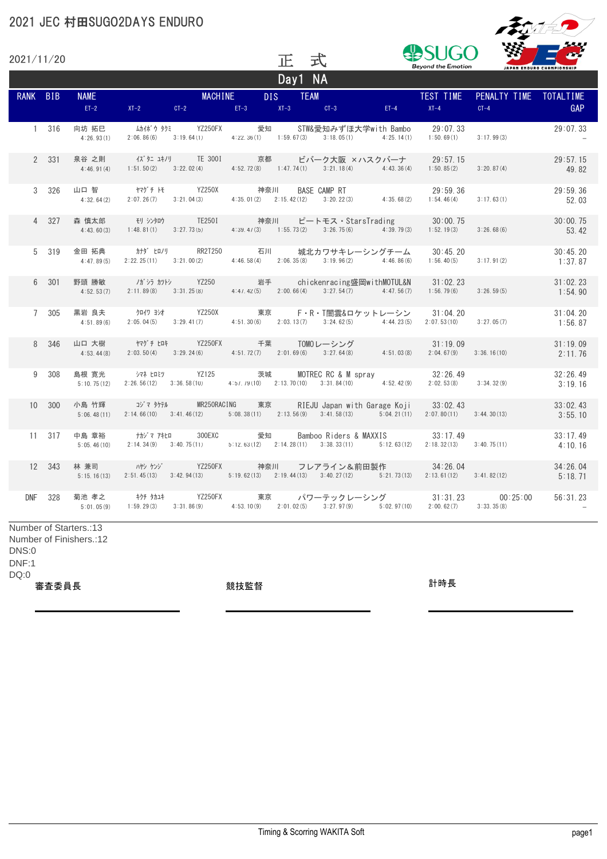

| 式<br>2021/11/20<br>正<br><b>Beyond the Emotion</b><br>JAPAN ENDURO CHAMPIONSHIP |               |                                                   |            |                                                                                                                                                         |                  |         |                                                     |        |                                        |                                                                                              |                     |
|--------------------------------------------------------------------------------|---------------|---------------------------------------------------|------------|---------------------------------------------------------------------------------------------------------------------------------------------------------|------------------|---------|-----------------------------------------------------|--------|----------------------------------------|----------------------------------------------------------------------------------------------|---------------------|
|                                                                                |               |                                                   |            |                                                                                                                                                         |                  | Day1 NA |                                                     |        |                                        |                                                                                              |                     |
| RANK BIB                                                                       |               | <b>NAME</b><br>$ET-2$                             |            | $XT-2$ $CT-2$ $ET-3$ $XT-3$ $CT-3$                                                                                                                      | MACHINE DIS TEAM |         |                                                     | $ET-4$ | TEST TIME<br>$XT-4$                    | PENALTY TIME TOTALTIME<br>$CT-4$                                                             | GAP                 |
|                                                                                | 1 316         | 向坊 拓巳<br>4:26.93(1)                               | 2:06,86(6) | ムカイボ゙ウ タクミ                 YZ250FX<br>$3:19.64(1)$ $4:22.36(1)$ $1:59.67(3)$ $3:18.05(1)$ $4:25.14(1)$ $1:50.69(1)$                                     |                  | 愛知      | STW&愛知みずほ大学with Bambo 29:07.33                      |        |                                        | 3:17.99(3)                                                                                   | 29:07.33            |
|                                                                                | 2 331         | 泉谷 之則                                             |            | イズタニ ユキノリ       TE 3001           京都         ビバーク大阪 × ハスクバーナ<br>$4:46.91(4)$ $1:51.50(2)$ $3:22.02(4)$                                                  |                  |         | $4:52.72(8)$ $1:47.74(1)$ $3:21.18(4)$ $4:43.36(4)$ |        | 29:57.15<br>1:50.85(2)                 | 3:20.87(4)                                                                                   | 29:57.15<br>49.82   |
|                                                                                | 3 326         | 4:32.64(2)                                        |            | ヤマゲ チ トモ YZ250X 神奈川 BASE CAMP RT<br>2:07.26 (7) 3:21.04 (3) 4:35.01 (2) 2:15.42 (12) 3:20.22 (3) 4:35.68 (2)                                            |                  |         |                                                     |        | 29:59.36<br>1:54.46(4)                 | 3:17.63(1)                                                                                   | 29:59.36<br>52.03   |
|                                                                                | 4 327         | 4:43.60(3)                                        |            | 森 慎太郎 モリ シンタロウ TE2501 神奈川 ピートモス・StarsTrading 30:00.75<br>1:48.81 (1) $3:27.73(5)$ $4:39.47(3)$ $1:55.73(2)$ $3:26.75(6)$ $4:39.79(3)$                   |                  |         |                                                     |        | 1:52, 19(3)                            | 3:26.68(6)                                                                                   | 30:00.75<br>53.42   |
|                                                                                | 5 319         | 金田 拓典<br>4:47.89(5)                               |            | $2:22.25(11)$ $3:21.00(2)$                                                                                                                              |                  |         | $4:46.58(4)$ $2:06.35(8)$ $3:19.96(2)$ $4:46.86(6)$ |        | 30:45.20<br>1:56.40(5)                 | 3:17.91(2)                                                                                   | 30:45.20<br>1:37.87 |
|                                                                                | 6 301         | 野頭 勝敏<br>4:52.53(7)                               |            | $2:11.89(8)$ $3:31.25(8)$                                                                                                                               |                  |         | $4:47.42(5)$ $2:00.66(4)$ $3:27.54(7)$ $4:47.56(7)$ |        | 31:02.23<br>1:56.79(6)                 | 3:26.59(5)                                                                                   | 31:02.23<br>1:54.90 |
|                                                                                | 7 305         | 黒岩 良夫<br>4:51.89(6)                               |            | クロイワ ヨンオ           YZ250X           東京         F・R・T闇雲&ロケットレーシン<br>2:05.04(5) 3:29.41(7) 4:51.30(6) 2:03.13(7) 3:24.62(5) 4:44.23(5) 2:07.53(10)        |                  |         |                                                     |        | 31:04.20                               | 3:27.05(7)                                                                                   | 31:04.20<br>1:56.87 |
|                                                                                | 8 346         |                                                   |            | 山口 大樹 イマゲチ ヒロキ YZ250FX 千葉 TOMOレーシング<br>4:53.44(8) 2:03.50(4) 3:29.24(6) 4:51.72(7) 2:01.69(6) 3:27.64(8) 4:51.03(8)                                     |                  |         |                                                     |        | 31:19.09<br>$2:04.67(9)$ $3:36.16(10)$ |                                                                                              | 31:19.09<br>2:11.76 |
|                                                                                | $9 \quad 308$ | 島根 寛光<br>5:10.75(12)                              |            | シマネーヒロミツ YZ125 茨城 MOTREC RC & M spray        32:26.49<br>2:26.56(12) 3:36.58(10) 4:57.79(10) 2:13.70(10) 3:31.84(10) 4:52.42(9)                         |                  |         |                                                     |        | 2:02.53(8)                             | 3:34.32(9)                                                                                   | 32:26.49<br>3:19.16 |
|                                                                                | 10 300        | 小島 竹輝                                             |            | コジマ タケテル MR250RACING 東京<br>$5:06,48(11)$ $2:14.66(10)$ $3:41.46(12)$ $5:08.38(11)$ $2:13.56(9)$ $3:41.58(13)$ $5:04.21(11)$ $2:07.80(11)$ $3:44.30(13)$ |                  |         | RIEJU Japan with Garage Koji 33:02.43               |        |                                        |                                                                                              | 33:02.43<br>3:55.10 |
|                                                                                | 11 317        | 5:05, 46(10)                                      |            | 中島 章裕     ナカジマ アキヒロ    300EXC<br>2:14.34(9) 3:40.75(11) 5:12.63(12) 2:14.28(11) 3:38.33(11) 5:12.63(12) 2:18.32(13) 3:40.75(11)                         |                  | 愛知      | Bamboo Riders & MAXXIS 33:17.49                     |        |                                        |                                                                                              | 33:17.49<br>4:10.16 |
|                                                                                | 12 343        | 5:15.16(13)                                       |            | 林 兼司 インタン アイエン YZ250FX 神奈川 フレアライン&前田製作 34:26.04<br>2:51.45(13) 3:42.94(13) 5:19.62(13) 2:19.44(13) 3:40.27(12) 5:21.73(13) 2:13.61(12) 3:41.82(12)      |                  |         |                                                     |        |                                        |                                                                                              | 34:26.04<br>5:18.71 |
|                                                                                | DNF 328       | 5:01.05(9)                                        |            | $1:59.29(3)$ $3:31.86(9)$ $4:53.10(9)$ $2:01.02(5)$ $3:27.97(9)$ $5:02.97(10)$                                                                          |                  |         |                                                     |        | 2:00.62(7)                             | 菊池 孝之    キクチ タカユキ     YZ250FX     東京    パワーテックレーシング      31:31.23     00:25:00<br>3:33,35(8) | 56:31.23            |
| DNS:0<br>DNF:1                                                                 |               | Number of Starters.:13<br>Number of Finishers.:12 |            |                                                                                                                                                         |                  |         |                                                     |        |                                        |                                                                                              |                     |

DQ:0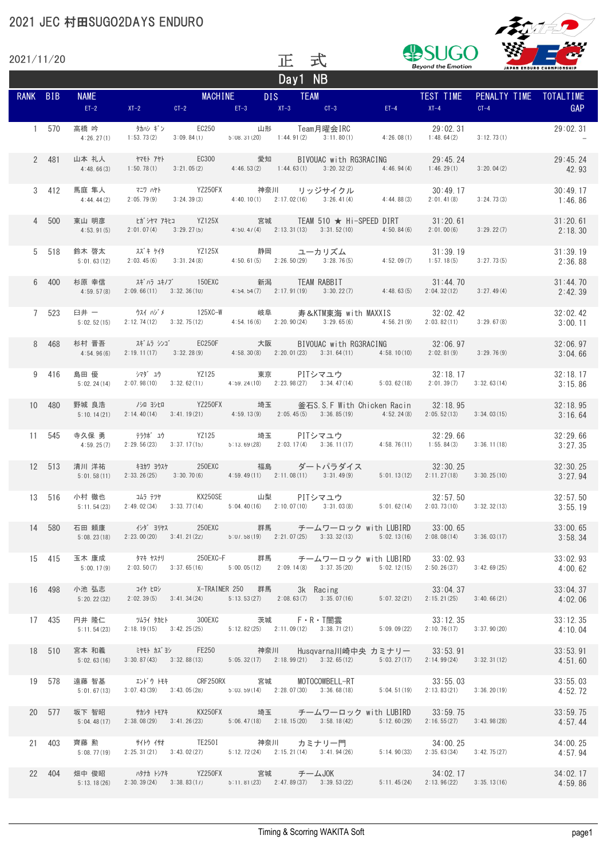

| 2021/11/20 |        |  |                                                | 正       | 式 |                                                                                                                                                                                                             | <b>Beyond the Emotion</b> |                                                                                                                                                                                                              | JAPAN ENDURO CHAMPIONSHIP |
|------------|--------|--|------------------------------------------------|---------|---|-------------------------------------------------------------------------------------------------------------------------------------------------------------------------------------------------------------|---------------------------|--------------------------------------------------------------------------------------------------------------------------------------------------------------------------------------------------------------|---------------------------|
| RANK BIB   |        |  |                                                | Day1 NB |   | NAME<br>ET-2 $XT-2$ $CT-2$ $CT-3$ $T-3$ $T-3$ $T-3$ $T-3$ $T-4$ $T-4$ $T-4$                                                                                                                                 |                           | PENALTY TIME TOTALTIME<br>$CT-4$                                                                                                                                                                             | <b>GAP</b>                |
|            |        |  | 1 570 高橋 吟     タカハシ ギン   EC250   山形 Team月曜会IRC |         |   |                                                                                                                                                                                                             |                           | 3:12.73(1)                                                                                                                                                                                                   | 29:02.31                  |
|            |        |  |                                                |         |   | 2 481 山本 礼人 † すモト アヤト EC300 愛知 BIVOUAC with RG3RACING 29:45.24<br>4:48.66(3) 1:50.78(1) 3:21.05(2) 4:46.53(2) 1:44.63(1) 3:20.32(2) 4:46.94(4) 1:46.29(1) 3:20.04(2)                                        |                           |                                                                                                                                                                                                              | 29:45.24<br>42.93         |
|            |        |  |                                                |         |   | 3 412 馬庭 隼人 マニワ ハヤト YZ250FX 神奈川 リッジサイクル<br>4:44.44(2) 2:05.79(9) 3:24.39(3) 4:40.10(1) 2:17.02(16) 3:26.41(4) 4:44.88(3)                                                                                    |                           | 30:49.17<br>$2:01.41(8)$ $3:24.73(3)$                                                                                                                                                                        | 30:49.17<br>1:46.86       |
|            |        |  |                                                |         |   | 4 500 東山 明彦 とガシヤマ アキヒコ YZ125X 宮城 TEAM 510 ★ Hi-SPEED DIRT 31:20.61<br>4:53.91(5) 2:01.07(4) 3:29.27(5) 4:50.47(4) 2:13.31(13) 3:31.52(10) 4:50.84(6) 2:01.00(6) 3:29.22(7)                                  |                           |                                                                                                                                                                                                              | 31:20.61<br>2:18.30       |
|            |        |  |                                                |         |   | 5 518 鈴木 啓太     スズキ ケイタ       YZ125X      静岡     ユーカリズム                31:39 19<br>5:01.63(12)   2:03.45(6)   3:31.24(8)     4:50.61(5)   2:26.50(29)   3:28.76(5)     4:52.09(7)   1:57.18(5)   3:27.73(5) |                           |                                                                                                                                                                                                              | 31:39.19<br>2:36.88       |
|            |        |  |                                                |         |   |                                                                                                                                                                                                             |                           | 6 400 杉原 幸信    スギハラ ユキノブ   150EXC     新潟    TEAM_RABBIT              31:44.70<br>4:59.57(8)  2:09.66(11)  3:32.36(10)   4:54.54(7)  2:17.91(19)  3:30.22(7)    4:48.63(5)  2:04.32(12)   3:27.49(4)          | 31:44.70<br>2:42.39       |
|            |        |  |                                                |         |   | 7 523 臼井 − ウスイ ハジメ 125XC-W 岐阜 寿&KTM東海 with MAXXIS 32:02.42<br>5:02.52(15) 2:12.74(12) 3:32.75(12) 4:54.16(6) 2:20.90(24) 3:29.65(6) 4:56.21(9) 2:03.82(11) 3:29.67(8)                                       |                           |                                                                                                                                                                                                              | 32:02.42<br>3:00.11       |
|            |        |  |                                                |         |   |                                                                                                                                                                                                             |                           | 8 468  杉村 晋吾    スギ゙ムラ シンゴ    EC250F      大阪    BIVOUAC with RG3RACING      32:06.97<br>4:54.96(6)  2:19.11(17)  3:32.28(9)    4:58.30(8)  2:20.01(23)  3:31.64(11)   4:58.10(10)  2:02.81(9)   3:29.76(9)    | 32:06.97<br>3:04.66       |
|            | 9 416  |  |                                                |         |   | 島田 優      シマダ ユウ       YZ125       東京    PITシマユウ               32:18.17<br>5:02.24(14)   2:07.98(10)   3:32.62(11)   4:59.24(10)   2:23.98(27)   3:34.47(14)    5:03.62(18)   2:01.39(7)   3:32.63(14)      |                           | 32:18.17                                                                                                                                                                                                     | 32:18.17<br>3:15.86       |
|            | 10 480 |  |                                                |         |   | 野城 良浩    /シロ ヨシヒロ    YZ250FX    埼玉   釜石S.S.F With Chicken Racin   32:18.95<br>$5:10.14(21)$ $2:14.40(14)$ $3:41.19(21)$ $4:59.13(9)$ $2:05.45(5)$ $3:36.85(19)$ $4:52.24(8)$ $2:05.52(13)$ $3:34.03(15)$    |                           |                                                                                                                                                                                                              | 32:18.95<br>3:16.64       |
|            |        |  |                                                |         |   | 11 545 寺久保 勇 テラクボュウ YZ125 埼玉 PITシマユウ 32:29.66 32:29.66<br>4:59.25(7) 2:29.56(23) 3:37.17(15) 5:13.69(28) 2:03.17(4) 3:36.11(17) 4:58.76(11) 1:55.84(3) 3:36.11(18)                                          |                           | 32:29.66                                                                                                                                                                                                     | 32:29.66<br>3:27.35       |
|            |        |  |                                                |         |   |                                                                                                                                                                                                             |                           |                                                                                                                                                                                                              | 32:30.25<br>3:27.94       |
|            |        |  |                                                |         |   | 13 516 小村 徹也 コムラ テッヤ KX250SE 山梨 PITシマユウ<br>5:11.54 (23) 2:49.02 (34) 3:33.77 (14) 5:04.40 (16) 2:10.07 (10) 3:31.03 (8) 5:01.62 (14) 2:03.73 (10) 3:32.32 (13)                                              | 32:57.50                  |                                                                                                                                                                                                              | 32:57.50<br>3:55.19       |
|            | 14 580 |  |                                                |         |   |                                                                                                                                                                                                             |                           | 5:08.23(18) 2:23.00(20) 3:41.21(22) 5:07.58(19) 2:21.07(25) 3:33.32(13) 5:02.13(16) 2:08.08(14) 3:36.03(17)                                                                                                  | 33:00.65<br>3:58.34       |
|            | 15 415 |  |                                                |         |   | 5:00.17(9) 2:03.50(7) 3:37.65(16) 5:00.05(12) 2:09.14(8) 3:37.35(20) 5:02.12(15) 2:50.26(37) 3:42.69(25)                                                                                                    |                           | 玉木 康成     タマキ ヤスナリ     250EXC-F     群馬     チームワーロック with LUBIRD    33:02.93                                                                                                                                  | 33:02.93<br>4:00.62       |
|            | 16 498 |  |                                                |         |   | 小池 弘志    14ケ Łロシ      X-TRAINER 250  群馬    3k  Racing                33:04.37<br>5:20.22(32)  2:02.39(5)  3:41.34(24)    5:13.53(27)  2:08.63(7)  3:35.07(16)    5:07.32(21)  2:15.21(25)  3:40.66(21)      |                           |                                                                                                                                                                                                              | 33:04.37<br>4:02.06       |
|            | 17 435 |  |                                                |         |   |                                                                                                                                                                                                             |                           | 円井 隆仁     "¼ライ タカヒト     300EXC      茨城    F•R•T闇雲               33:12.35<br>5:11.54(23)  2:18.19(15)  3:42.25(25)    5:12.82(25)  2:11.09(12)  3:38.71(21)    5:09.09(22)  2:10.76(17)  3:37.90(20)          | 33:12.35<br>4:10.04       |
|            | 18 510 |  |                                                |         |   | $5:02.63(16)$ $3:30.87(43)$ $3:32.88(13)$ $5:05.32(17)$ $2:18.99(21)$ $3:32.65(12)$ $5:03.27(17)$ $2:14.99(24)$ $3:32.31(12)$                                                                               |                           | 宮本 和義     ミヤモト カズヨシ     FE250       神奈川   Husqvarna川崎中央 カミナリー   33:53.91                                                                                                                                     | 33:53.91<br>4:51.60       |
|            |        |  |                                                |         |   |                                                                                                                                                                                                             |                           | 19 578 遠藤 智基     エンドゥトモキ    CRF250RX     宮城    MOTOCOWBELL—RT            33:55.03<br>5:01.67(13)  3:07.43(39)  3:43.05(28)    5:03.59(14)  2:28.07(30)  3:36.68(18)    5:04.51(19)  2:13.83(21)  3:36.20(19) | 33:55.03<br>4:52.72       |
|            |        |  |                                                |         |   | 20 577 坂下 智昭 サカシタ トモアキ KX250FX 埼玉 チームワーロック with LUBIRD 33:59.75<br>5:04.48(17) 2:38.08(29) 3:41.26(23) 5:06.47(18) 2:18.15(20) 3:58.18(42) 5:12.60(29) 2:16.55(27) 3:43.98(28)                              |                           |                                                                                                                                                                                                              | 33:59.75<br>4:57.44       |
|            |        |  |                                                |         |   |                                                                                                                                                                                                             |                           | 21 403 齊藤 勲      サイトウ イサオ      TE2501      神奈川   カミナリ一門              34:00.25<br>5:08.77(19) 2:25.31(21) 3:43.02(27)   5:12.72(24) 2:15.21(14) 3:41.94(26)    5:14.90(33) 2:35.63(34) 3:42.75(27)            | 34:00.25<br>4:57.94       |
|            | 22 404 |  |                                                |         |   | 畑中 俊昭     ハタナカ トシアキ     YZ250FX    宮城    チームJOK              34:02.17<br>5:13.18(26)  2:30.39(24)  3:38.83(17)    5:11.81(23)  2:47.89(37)  3:39.53(22)    5:11.45(24)  2:13.96(22)  3:35.13(16)            |                           | 34:02.17                                                                                                                                                                                                     | 34:02.17<br>4:59.86       |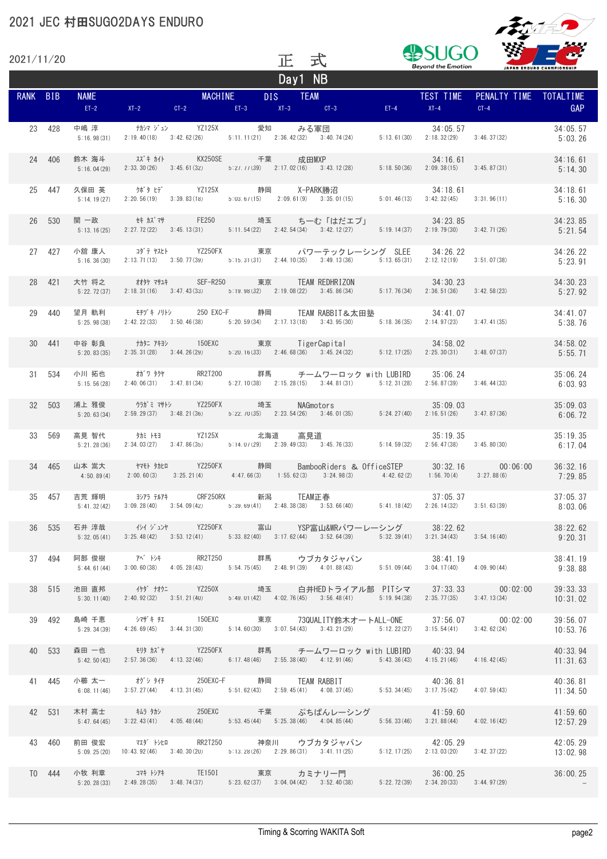

| 2021/11/20 |        |             |                                           | 正       | 式                                                                                                                                                                                                      | <b>Beyond the Emotion</b> | JAPAN ENDURO CHAMPIONSHIP                                                                                                                                                                                                   |                      |
|------------|--------|-------------|-------------------------------------------|---------|--------------------------------------------------------------------------------------------------------------------------------------------------------------------------------------------------------|---------------------------|-----------------------------------------------------------------------------------------------------------------------------------------------------------------------------------------------------------------------------|----------------------|
| RANK BIB   |        |             |                                           | Day1 NB | NAME<br>ET-2 XT-2 CT-2 ET-3 XT-3 CT-3 ET-4 XT-4<br>ET-2 XT-2 CT-2 ET-3 XT-3 CT-3 ET-4 XT-4                                                                                                             |                           | PENALTY TIME TOTALTIME<br>$CT-4$                                                                                                                                                                                            | GAP                  |
|            | 23 428 |             |                                           |         |                                                                                                                                                                                                        |                           | $5:13.61(30)$ $2:18.32(29)$ $3:46.37(32)$                                                                                                                                                                                   | 34:05.57<br>5:03.26  |
|            | 24 406 |             |                                           |         |                                                                                                                                                                                                        |                           | 鈴木 海斗    スズキ カイト      KX250SE     千葉    成田MXP                34:16.61<br>5:16.04(29)  2:33.30(26)  3:45.61(32)    5:27.77(39)  2:17.02(16)  3:43.12(28)    5:18.50(36)  2:09.38(15)  3:45.87(31)                            | 34:16.61<br>5:14.30  |
|            |        |             |                                           |         |                                                                                                                                                                                                        |                           |                                                                                                                                                                                                                             | 5:16.30              |
|            | 26 530 |             |                                           |         | 関 一政     セキ カズマサ     FE250       埼玉    ちーむ「はだエプ」          34:23.85<br>5:13.16(25)  2:27.72(22)  3:45.13(31)    5:11.54(22)  2:42.54(34)  3:42.12(27)    5:19.14(37)  2:19.79(30)  3:42.71(26)          |                           |                                                                                                                                                                                                                             | 34:23.85<br>5:21.54  |
|            | 27 427 |             |                                           |         | 小舘 康人    コダテ ヤスヒト    YZ250FX     東京    パワーテックレーシング SLEE   34:26.22<br>5:16.36(30) 2:13.71(13) 3:50.77(39) 5:15.31(31) 2:44.10(35) 3:49.13(36) 5:13.65(31) 2:12.12(19) 3:51.07(38)                      |                           |                                                                                                                                                                                                                             | 34:26.22<br>5:23.91  |
|            | 28 421 |             |                                           |         | 大竹 将之     材外 7サ1キ    SEF-R250     東京    TEAM_REDHRIZON             34:30.23<br>5:22.72(37)  2:18.31(16)  3:47.43(33)    b:19.98(32)  2:19.08(22)  3:45.86(34)    5:17.76(34)  2:36.51(36)  3:42.58(23) |                           |                                                                                                                                                                                                                             | 34:30.23<br>5:27.92  |
|            | 29 440 |             |                                           |         | 5:25.98 (38) 2:42.22 (33) 3:50.46 (38) 5:20.59 (34) 2:17.13 (18) 3:43.95 (30) 5:18.36 (35) 2:14.97 (23) 3:47.41 (35)                                                                                   |                           |                                                                                                                                                                                                                             | 34:41.07<br>5:38.76  |
|            | 30 441 |             |                                           |         |                                                                                                                                                                                                        |                           |                                                                                                                                                                                                                             | 34:58.02<br>5:55.71  |
|            | 31 534 |             |                                           |         | 5:15.56(28) 2:40.06(31) 3:47.81(34) 5:27.10(38) 2:15.28(15) 3:44.81(31) 5:12.31(28) 2:56.87(39) 3:46.44(33)                                                                                            |                           |                                                                                                                                                                                                                             | 35:06.24<br>6:03.93  |
|            | 32 503 | 5:20.63(34) | 浦上 雅俊     ウラガミ マサトシ    YZ250FX     埼玉     |         | カラガミマサトシ YZ250FX 埼玉 NAGmotors 35:09.03<br>2:59.29(37) 3:48.21(36) 5:22.70(35) 2:23.54(26) 3:46.01(35) 5:24.27(40) 2:16.51(26) 3:47.87(36)                                                              |                           |                                                                                                                                                                                                                             | 35:09.03<br>6:06.72  |
|            | 33 569 |             |                                           |         | 高見 智代     タカミ トモヨ     YZ125X     北海道   高見道                35:19. 35<br>5:21.28(36)  2:34.03(27)  3:47.86(35)    5:14.07(29)  2:39.49(33)  3:45.76(33)    5:14.59(32)  2:56.47(38)  3:45.80(30)         |                           | 35:19.35                                                                                                                                                                                                                    | 35:19.35<br>6:17.04  |
|            |        | 4:50.89(4)  |                                           |         |                                                                                                                                                                                                        |                           | 34 465 山本 嵩大 → ヤモト タカヒロ → YZ250FX 静岡 → BambooRiders & OfficeSTEP → 30:32.16 → 00:06:00<br>$2:00.60(3)$ $3:25.21(4)$ $4:47.66(3)$ $1:55.62(3)$ $3:24.98(3)$ $4:42.62(2)$ $1:56.70(4)$ $3:27.88(6)$                           | 36:32.16<br>7:29.85  |
|            |        |             | 35 457 吉荒 輝明 ヨシアラ テルアキ CRF250RX 新潟 TEAM正春 |         |                                                                                                                                                                                                        |                           | 7  吉荒 輝明     ヨシアラ テルアキ     CRF250RX     新潟    TEAM正春                37:05.37               37:05.37<br>5:41.32(42)  3:09.28(40)  3:54.09(42)    5:39.69(41)  2:48.38(38)  3:53.66(40)    5:41.18(42)  2:26.14(32)  3:51.63( |                      |
|            | 36 535 |             |                                           |         | 石井 淳哉 インイ ジュンヤ YZ250FX 富山 YSP富山&WRパワーレーシング 38:22.62<br>5:32.05(41) 3:25.48(42) 3:53.12(41) 5:33.82(40) 3:17.62(44) 3:52.64(39) 5:32.39(41) 3:21.34(43) 3:54.16(40)                                     |                           |                                                                                                                                                                                                                             | 38:22.62<br>9:20.31  |
|            | 37 494 |             |                                           |         |                                                                                                                                                                                                        |                           | 阿部 俊樹    7ベートンキ      RR2T250     群馬    ウブカタジャパン            38:41.19<br>5:44.61(44)  3:00.60(38)  4:05.28(43)   5:54.75(45)  2:48.91(39)  4:01.88(43)   5:51.09(44)  3:04.17(40)  4:09.90(44)                                | 38:41.19<br>9:38.88  |
|            | 38 515 |             |                                           |         |                                                                                                                                                                                                        |                           | 池田 直邦 イケダ ナオクニ YZ250X 埼玉 白井HEDトライアル部 PITシマ 37:33.33 00:02:00<br>5:30.11(40) 2:40.92(32) 3:51.21(40) 5:49.01(42) 4:02.76(45) 3:56.48(41) 5:19.94(38) 2:35.77(35) 3:47.13(34)                                                 | 39:33.33<br>10:31.02 |
|            | 39 492 |             |                                           |         | 5:29.34 (39) 4:26.69 (45) 3:44.31 (30) 5:14.60 (30) 3:07.54 (43) 3:43.21 (29) 5:12.22 (27) 3:15.54 (41) 3:42.62 (24)                                                                                   |                           | 島崎 千恵    シマザキ チェ     150EXC     東京    73QUALITY鈴木オートALL-ONE    37:56.07     00:02:00                                                                                                                                        | 39:56.07<br>10:53.76 |
|            | 40 533 |             |                                           |         | 森田 一也    モリタ カズヤ     YZ250FX     群馬    チームワーロック with LUBIRD   40:33.94<br>5:42.50(43) 2:57.36(36) 4:13.32(46) 6:17.48(46) 2:55.38(40) 4:12.91(46) 5:43.36(43) 4:15.21(46) 4:16.42(45)                  |                           |                                                                                                                                                                                                                             | 40:33.94<br>11:31.63 |
|            | 41 445 |             |                                           |         |                                                                                                                                                                                                        |                           | 小櫛 太一    オグシ タイチ     250EXC-F    静岡    TEAM RABBIT               40:36. 81<br>6:08.11(46)  3:57.27(44)  4:13.31(45)    5:51.62(43)  2:59.45(41)  4:08.37(45)    5:53.34(45)  3:17.75(42)  4:07.59(43)                       | 40:36.81<br>11:34.50 |
|            | 42 531 |             |                                           |         | 木村 高士 キムラ タカシ 250EXC 千葉 ぷちぱんレーシング - 41:59.60<br>5: 47, 64(45) 3: 22, 43(41) 4: 05, 48(44) 5: 53, 45(44) 5: 25, 38(46) 4: 04, 85(44) 5: 56, 33(46) 3: 21, 88(44) 4: 02, 16(42)                          |                           |                                                                                                                                                                                                                             | 41:59.60<br>12:57.29 |
|            | 43 460 |             |                                           |         |                                                                                                                                                                                                        |                           | 前田 俊宏    マエダ トシヒロ    RR2T250     神奈川   ウブカタジャパン           42:05.29<br>5:09.25(20)  10:43.92(46)  3:40.30(20)   5:13.28(26)  2:29.86(31)  3:41.11(25)   5:12.17(25)  2:13.03(20)  3:42.37(22)                                | 42:05.29<br>13:02.98 |
|            | T0 444 |             |                                           |         | 小牧 利章    コマキ トシアキ     TE1501      東京    カミナリ一門<br>5:20.28(33)  2:49.28(35)  3:48.74(37)   5:23.62(37)  3:04.04(42)  3:52.40(38)    5:22.72(39)  2:34.20(33)  3:44.97(29)                               |                           |                                                                                                                                                                                                                             | 36:00.25             |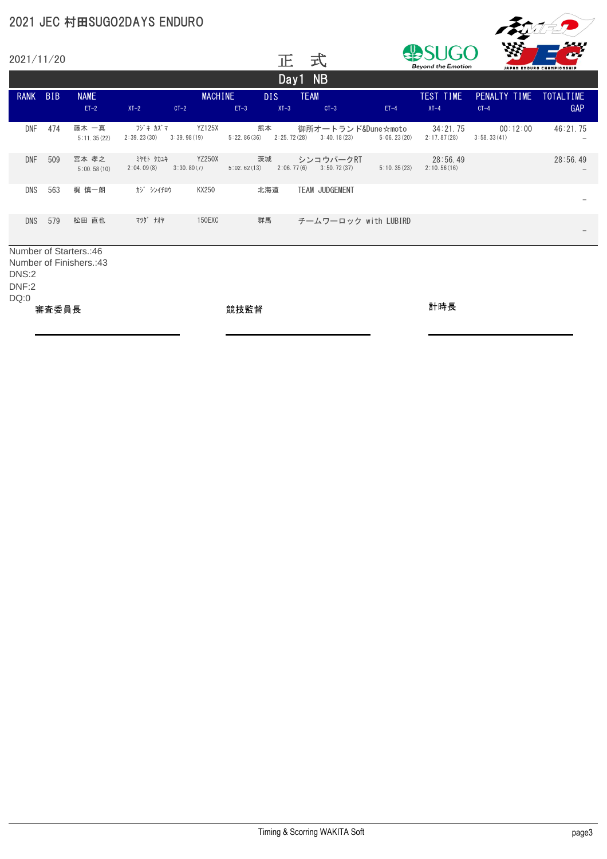

|             | 2021/11/20 |                        |                         |                             |             | 正                 | 式                                 |             | 79<br>æf<br>1 J I J I<br><b>Beyond the Emotion</b><br>JAPAN ENDURO CHAMPIONSHIP |                         |                         |
|-------------|------------|------------------------|-------------------------|-----------------------------|-------------|-------------------|-----------------------------------|-------------|---------------------------------------------------------------------------------|-------------------------|-------------------------|
|             |            |                        |                         |                             |             |                   | Day1 NB                           |             |                                                                                 |                         |                         |
| <b>RANK</b> | <b>BIB</b> | <b>NAME</b><br>$ET-2$  | $XT-2$                  | <b>MACHINE</b><br>$CT-2$    | $ET-3$      | DIS.<br>$XT-3$    | <b>TEAM</b><br>$CT-3$             | $ET-4$      | TEST TIME<br>$XT-4$                                                             | PENALTY TIME<br>$CT-4$  | <b>TOTALTIME</b><br>GAP |
| <b>DNF</b>  | 474        | 藤木 一真<br>5:11.35(22)   | フジキ カズマ<br>2:39.23(30)  | YZ125X<br>3:39.98(19)       | 5:22.86(36) | 熊本<br>2:25.72(28) | 御所オートランド&Dune☆moto<br>3:40.18(23) | 5:06.23(20) | 34:21.75<br>2:17.87(28)                                                         | 00:12:00<br>3:58.33(41) | 46:21.75                |
| <b>DNF</b>  | 509        | 宮本 孝之<br>5:00.58(10)   | ミヤモト タカユキ<br>2:04.09(8) | <b>YZ250X</b><br>3:30.80(7) | 5:02.62(13) | 茨城<br>2:06.77(6)  | シンコウパークRT<br>3:50.72(37)          | 5:10.35(23) | 28:56.49<br>2:10.56(16)                                                         |                         | 28:56.49                |
| <b>DNS</b>  | 563        | 梶 慎一朗                  | か゛ シンイチロウ               | KX250                       |             | 北海道               | <b>TEAM JUDGEMENT</b>             |             |                                                                                 |                         |                         |
| <b>DNS</b>  | 579        | 松田 直也                  | 7")" +++                | 150EXC                      |             | 群馬                | チームワーロック with LUBIRD              |             |                                                                                 |                         |                         |
|             |            | Number of Starters.:46 |                         |                             |             |                   |                                   |             |                                                                                 |                         |                         |

Number of Finishers.:43 DNS:2 DNF:2 DQ:0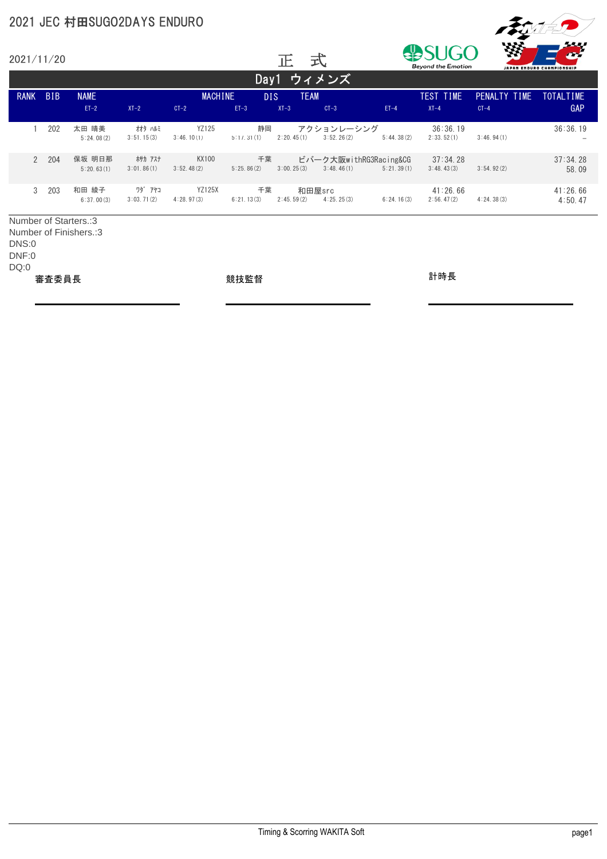

| 2021/11/20             |            |                        |                       |                             | YУ<br>ハハハ<br>式<br>正<br><b>Beyond the Emotion</b><br>JAPAN ENDURO CHAMPIONSHIP |                       |                                      |            | m                      |                        |                         |
|------------------------|------------|------------------------|-----------------------|-----------------------------|-------------------------------------------------------------------------------|-----------------------|--------------------------------------|------------|------------------------|------------------------|-------------------------|
|                        |            |                        |                       |                             |                                                                               | Day1 ウィメンズ            |                                      |            |                        |                        |                         |
| <b>RANK</b>            | <b>BIB</b> | <b>NAME</b><br>$ET-2$  | $XT-2$                | <b>MACHINE</b><br>$CT-2$    | DIS.<br>$ET-3$                                                                | <b>TEAM</b><br>$XT-3$ | $CT-3$                               | $ET-4$     | TEST TIME<br>$XT-4$    | PENALTY TIME<br>$CT-4$ | <b>TOTALTIME</b><br>GAP |
|                        | 202        | 太田 晴美<br>5:24.08(2)    | オオタ ハルミ<br>3:51.15(3) | YZ125<br>3:46.10(1)         | 静岡<br>5:17.31(1)                                                              | 2:20.45(1)            | アクションレーシング<br>3:52.26(2)             | 5:44.38(2) | 36:36.19<br>2:33.52(1) | 3:46.94(1)             | 36:36.19                |
| $\overline{2}$         | 204        | 保坂 明日那<br>5:20.63(1)   | ホサカ アスナ<br>3:01.86(1) | KX100<br>3:52.48(2)         | 千葉<br>5:25.86(2)                                                              | 3:00.25(3)            | ビバーク大阪withRG3Racing&CG<br>3:48,46(1) | 5:21.39(1) | 37:34.28<br>3:48.43(3) | 3:54.92(2)             | 37:34.28<br>58.09       |
| 3                      | 203        | 和田 綾子<br>6:37,00(3)    | ワダ゛アヤコ<br>3:03.71(2)  | <b>YZ125X</b><br>4:28.97(3) | 千葉<br>6:21.13(3)                                                              | 2:45.59(2)            | 和田屋src<br>4:25.25(3)                 | 6:24.16(3) | 41:26.66<br>2:56.47(2) | 4:24.38(3)             | 41:26.66<br>4:50.47     |
| Number of Starters.: 3 |            | Number of Finishers.:3 |                       |                             |                                                                               |                       |                                      |            |                        |                        |                         |

Number of Finishers.:3 DNS:0 DNF:0

DQ:0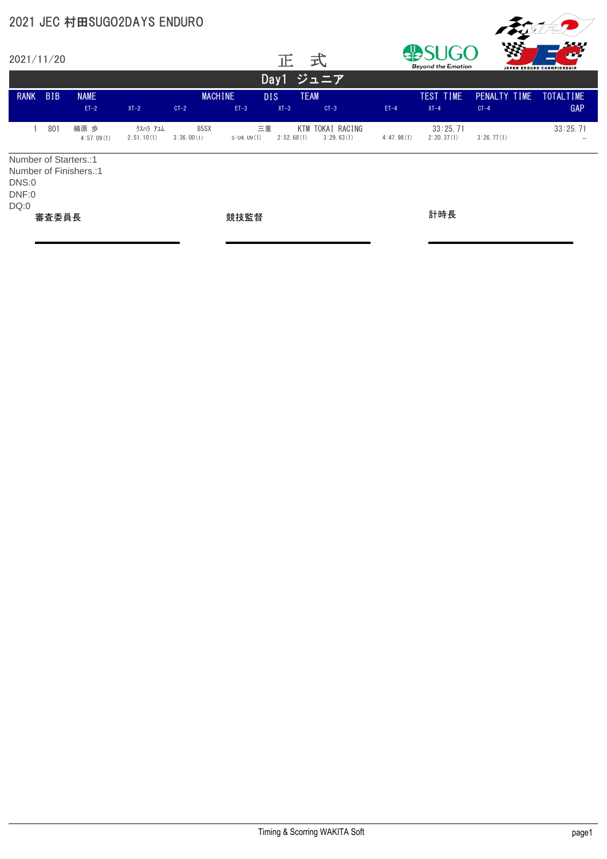

| 2021/11/20                                      |            |                        |                        |                          |                  | 止                    | 式                          | <b>TAY</b><br>æf<br>すいし<br><b>Beyond the Emotion</b><br>JAPAN ENDURO CHAMPIONSHIP |                        |                        |                  |
|-------------------------------------------------|------------|------------------------|------------------------|--------------------------|------------------|----------------------|----------------------------|-----------------------------------------------------------------------------------|------------------------|------------------------|------------------|
|                                                 |            |                        |                        |                          |                  | Day1                 | ジュニア                       |                                                                                   |                        |                        |                  |
| <b>RANK</b>                                     | <b>BIB</b> | <b>NAME</b><br>$ET-2$  | $XT-2$                 | <b>MACHINE</b><br>$CT-2$ | $ET-3$           | <b>DIS</b><br>$XT-3$ | <b>TEAM</b><br>$CT-3$      | $ET-4$                                                                            | TEST TIME<br>$XT-4$    | PENALTY TIME<br>$CT-4$ | TOTALTIME<br>GAP |
|                                                 | 801        | 楠原 歩<br>4:57.09(1)     | クスハラ アユム<br>2:51.10(1) | 85SX<br>3:36.00(1)       | 三重<br>5:04.09(1) | KTM<br>2:52.68(1)    | TOKAI RACING<br>3:29.63(1) | 4:47.98(1)                                                                        | 33:25.71<br>2:20.37(1) | 3:26.77(1)             | 33:25.71         |
| Number of Starters.:1<br>DNS:0<br>DNF:0<br>DQ:0 | 審査委員長      | Number of Finishers.:1 |                        |                          | 競技監督             |                      |                            |                                                                                   | 計時長                    |                        |                  |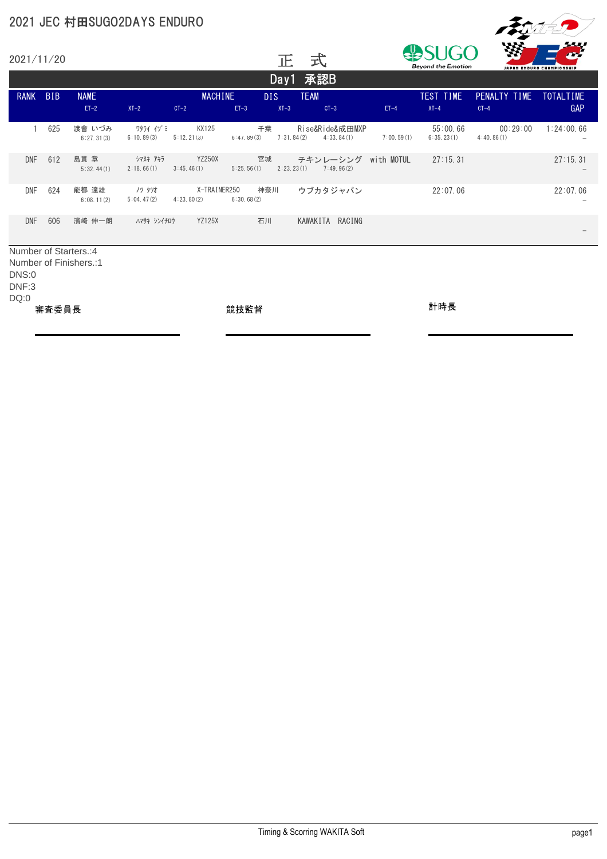

| 2021/11/20  |                       |                       |                         |                             |            | 正                | 式                             |            | <b>Beyond the Emotion</b> | Wó                     | JAPAN ENDURO CHAMPIONSHIP |  |
|-------------|-----------------------|-----------------------|-------------------------|-----------------------------|------------|------------------|-------------------------------|------------|---------------------------|------------------------|---------------------------|--|
|             |                       |                       |                         |                             |            |                  | Day1 承認B                      |            |                           |                        |                           |  |
| <b>RANK</b> | <b>BIB</b>            | <b>NAME</b><br>$ET-2$ | $XT-2$                  | <b>MACHINE</b><br>$CT-2$    | $ET-3$     | DIS.<br>$XT-3$   | <b>TEAM</b><br>$CT-3$         | $ET-4$     | TEST TIME<br>$XT-4$       | PENALTY TIME<br>$CT-4$ | TOTALTIME<br>GAP          |  |
|             | 625                   | 渡會 いづみ<br>6:27.31(3)  | ワタライ イヅ ミ<br>6:10.89(3) | KX125<br>5:12.21(3)         | 6:47.89(3) | 千葉<br>7:31.84(2) | Rise&Ride&成田MXP<br>4:33.84(1) | 7:00.59(1) | 55:00.66<br>6:35.23(1)    | 00:29:00<br>4:40.86(1) | 1:24:00.66                |  |
| <b>DNF</b>  | 612                   | 島貫章<br>5:32.44(1)     | シマヌキ アキラ<br>2:18.66(1)  | <b>YZ250X</b><br>3:45.46(1) | 5:25.56(1) | 宮城<br>2:23.23(1) | チキンレーシング<br>7:49.96(2)        | with MOTUL | 27:15.31                  |                        | 27:15.31                  |  |
| <b>DNF</b>  | 624                   | 能都 達雄<br>6:08.11(2)   | ノツ タツオ<br>5:04.47(2)    | X-TRAINER250<br>4:23.80(2)  | 6:30.68(2) | 神奈川              | ウブカタジャパン                      |            | 22:07.06                  |                        | 22:07.06                  |  |
| <b>DNF</b>  | 606                   | 濱﨑 伸一朗                | ハマサキ シンイチロウ             | <b>YZ125X</b>               | 石川         |                  | KAWAKITA<br>RACING            |            |                           |                        |                           |  |
|             | Number of Starters.:4 |                       |                         |                             |            |                  |                               |            |                           |                        |                           |  |

Number of Finishers.:1 DNS:0 DNF:3

DQ:0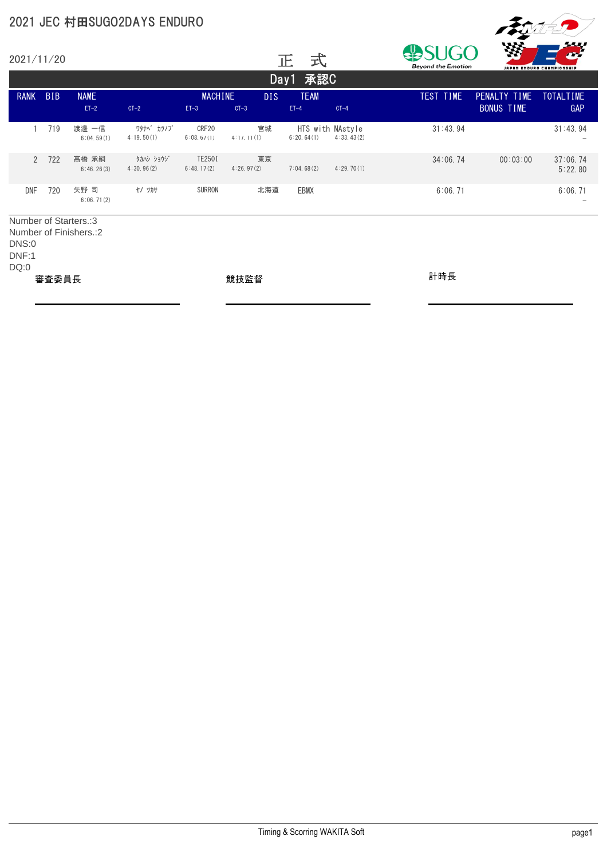|                                                        |            |                        | 2021 JEC 村田SUGO2DAYS ENDURO |                          |                  |                                |            |                           |                                   |                           |
|--------------------------------------------------------|------------|------------------------|-----------------------------|--------------------------|------------------|--------------------------------|------------|---------------------------|-----------------------------------|---------------------------|
| 2021/11/20                                             |            |                        |                             |                          |                  | 式<br>正                         |            | <b>Beyond the Emotion</b> |                                   | JAPAN ENDURO CHAMPIONSHIP |
|                                                        |            |                        |                             |                          |                  | Day1 承認C                       |            |                           |                                   |                           |
| <b>RANK</b>                                            | <b>BIB</b> | <b>NAME</b><br>$ET-2$  | $CT-2$                      | <b>MACHINE</b><br>$ET-3$ | DIS.<br>$CT-3$   | <b>TEAM</b><br>$ET-4$          | $CT-4$     | TEST TIME                 | PENALTY TIME<br><b>BONUS TIME</b> | <b>TOTALTIME</b><br>GAP   |
|                                                        | 719        | 渡邊 一信<br>6:04.59(1)    | ワタナヘ゛カツノフ゛<br>4:19.50(1)    | CRF20<br>6:08.67(1)      | 宮城<br>4:17.11(1) | HTS with NAstyle<br>6:20.64(1) | 4:33.43(2) | 31:43.94                  |                                   | 31:43.94                  |
| $\overline{2}$                                         | 722        | 高橋 承嗣<br>6:46.26(3)    | タカハシ ショウジ<br>4:30.96(2)     | TE2501<br>6:48.17(2)     | 東京<br>4:26.97(2) | 7:04.68(2)                     | 4:29.70(1) | 34:06.74                  | 00:03:00                          | 37:06.74<br>5:22.80       |
| <b>DNF</b>                                             | 720        | 矢野 司<br>6:06.71(2)     | ヤノ ツカサ                      | <b>SURRON</b>            | 北海道              | <b>EBMX</b>                    |            | 6:06.71                   |                                   | 6:06.71                   |
| Number of Starters.:3<br><b>DNS:0</b><br>DNF:1<br>DQ:0 |            | Number of Finishers.:2 |                             |                          |                  |                                |            |                           |                                   |                           |
|                                                        | 審査委員長      |                        |                             |                          | 競技監督             |                                |            | 計時長                       |                                   |                           |